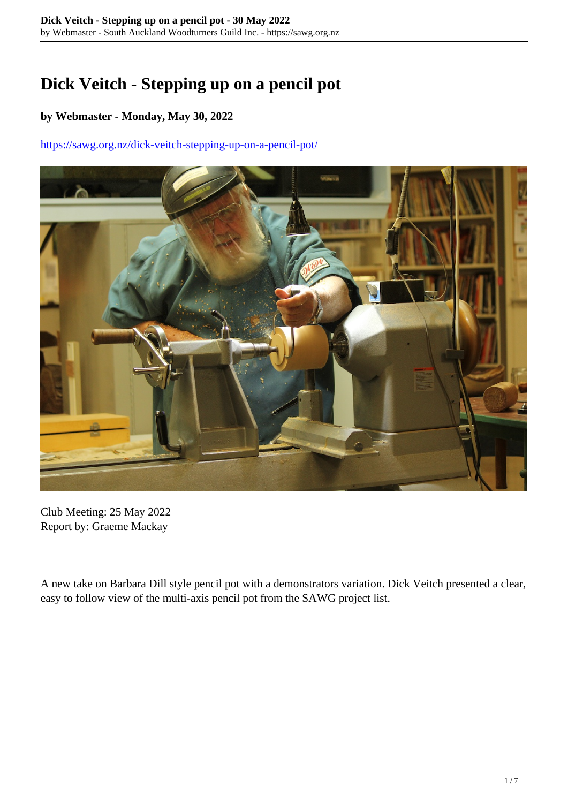## **Dick Veitch - Stepping up on a pencil pot**

## **by Webmaster - Monday, May 30, 2022**

<https://sawg.org.nz/dick-veitch-stepping-up-on-a-pencil-pot/>



Club Meeting: 25 May 2022 Report by: Graeme Mackay

A new take on Barbara Dill style pencil pot with a demonstrators variation. Dick Veitch presented a clear, easy to follow view of the multi-axis pencil pot from the SAWG project list.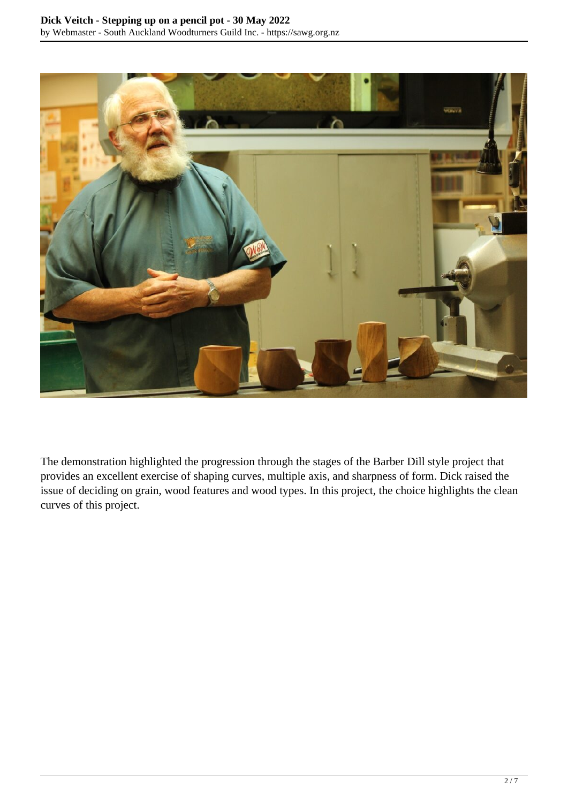

The demonstration highlighted the progression through the stages of the Barber Dill style project that provides an excellent exercise of shaping curves, multiple axis, and sharpness of form. Dick raised the issue of deciding on grain, wood features and wood types. In this project, the choice highlights the clean curves of this project.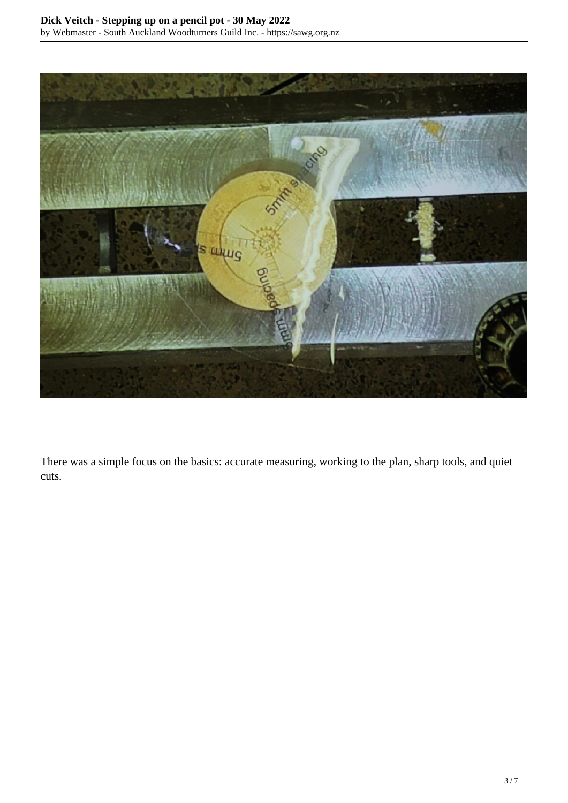

There was a simple focus on the basics: accurate measuring, working to the plan, sharp tools, and quiet cuts.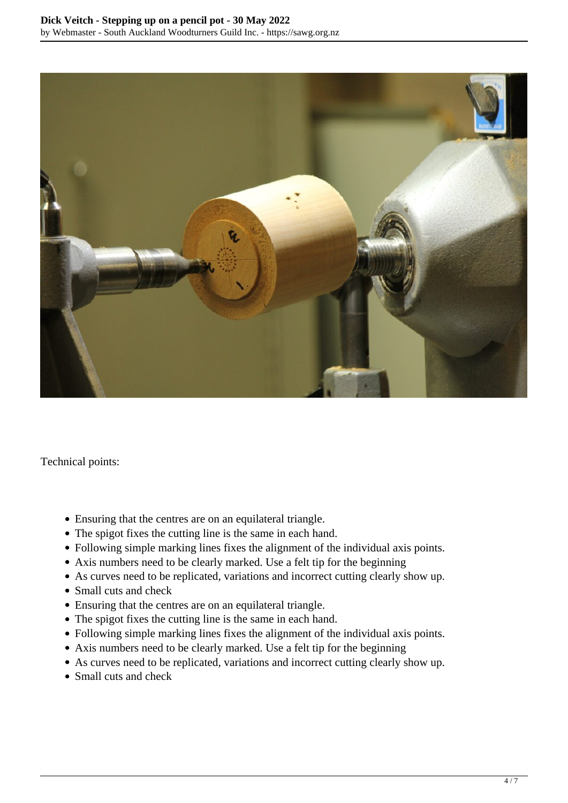

Technical points:

- Ensuring that the centres are on an equilateral triangle.
- The spigot fixes the cutting line is the same in each hand.
- Following simple marking lines fixes the alignment of the individual axis points.
- Axis numbers need to be clearly marked. Use a felt tip for the beginning
- As curves need to be replicated, variations and incorrect cutting clearly show up.
- Small cuts and check
- Ensuring that the centres are on an equilateral triangle.
- The spigot fixes the cutting line is the same in each hand.
- Following simple marking lines fixes the alignment of the individual axis points.
- Axis numbers need to be clearly marked. Use a felt tip for the beginning
- As curves need to be replicated, variations and incorrect cutting clearly show up.
- Small cuts and check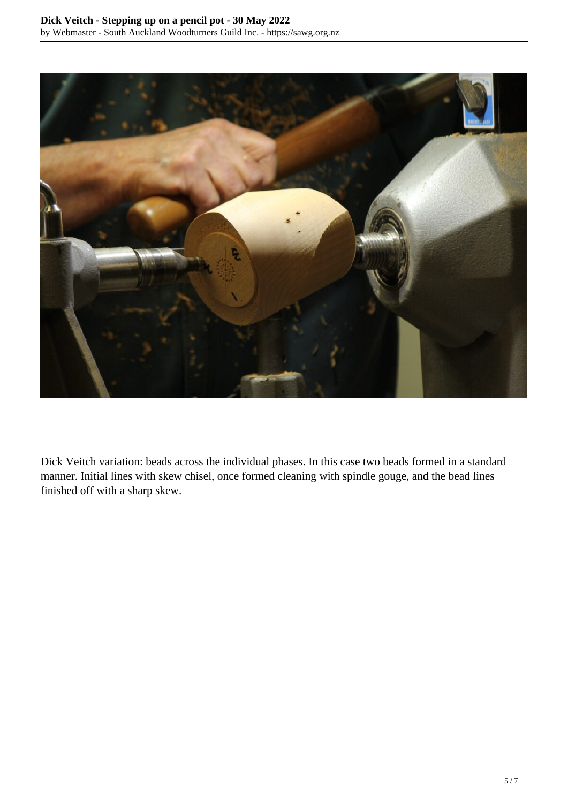

Dick Veitch variation: beads across the individual phases. In this case two beads formed in a standard manner. Initial lines with skew chisel, once formed cleaning with spindle gouge, and the bead lines finished off with a sharp skew.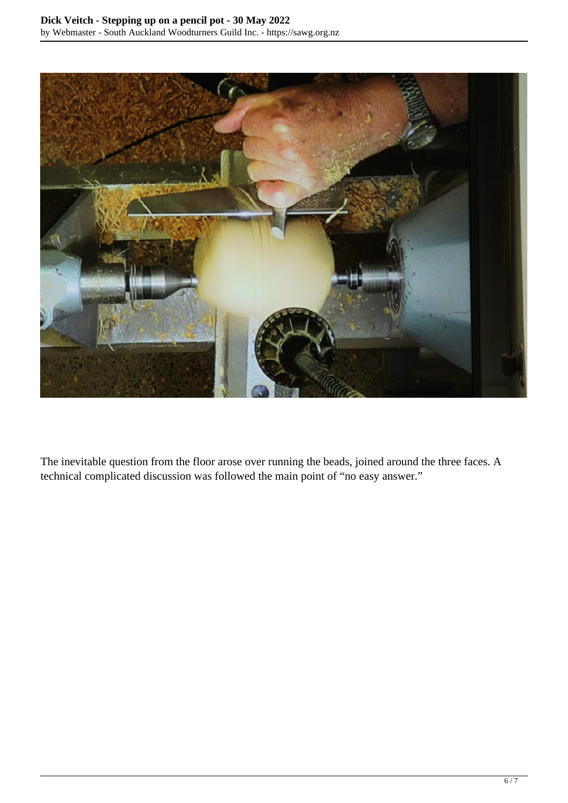

The inevitable question from the floor arose over running the beads, joined around the three faces. A technical complicated discussion was followed the main point of "no easy answer."